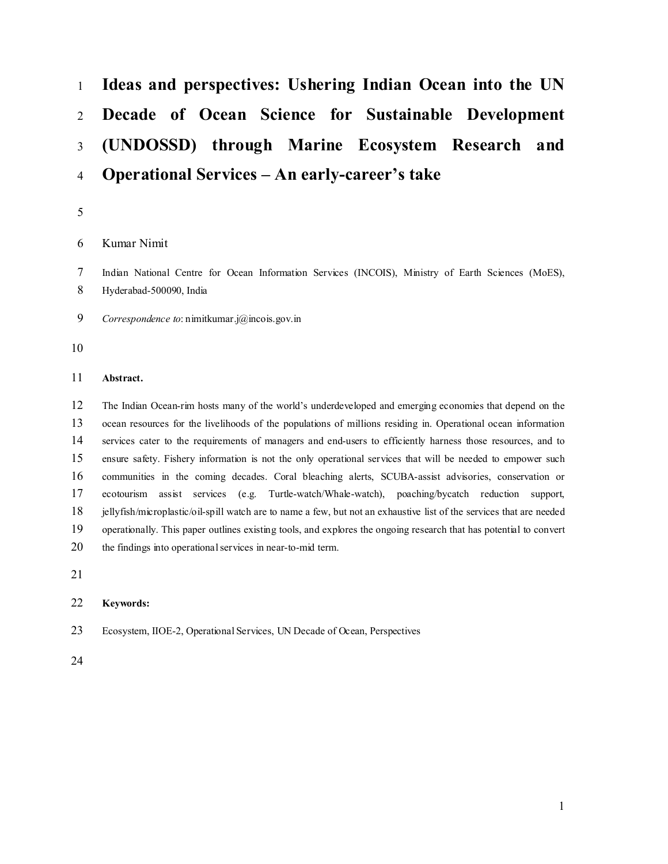# **Ideas and perspectives: Ushering Indian Ocean into the UN Decade of Ocean Science for Sustainable Development (UNDOSSD) through Marine Ecosystem Research and Operational Services – An early-career's take**

Kumar Nimit

 Indian National Centre for Ocean Information Services (INCOIS), Ministry of Earth Sciences (MoES), Hyderabad-500090, India

- *Correspondence to*: nimitkumar.j@incois.gov.in
- 

## **Abstract.**

 The Indian Ocean-rim hosts many of the world's underdeveloped and emerging economies that depend on the ocean resources for the livelihoods of the populations of millions residing in. Operational ocean information services cater to the requirements of managers and end-users to efficiently harness those resources, and to ensure safety. Fishery information is not the only operational services that will be needed to empower such communities in the coming decades. Coral bleaching alerts, SCUBA-assist advisories, conservation or ecotourism assist services (e.g. Turtle-watch/Whale-watch), poaching/bycatch reduction support, jellyfish/microplastic/oil-spill watch are to name a few, but not an exhaustive list of the services that are needed operationally. This paper outlines existing tools, and explores the ongoing research that has potential to convert 20 the findings into operational services in near-to-mid term.

## **Keywords:**

Ecosystem, IIOE-2, Operational Services, UN Decade of Ocean, Perspectives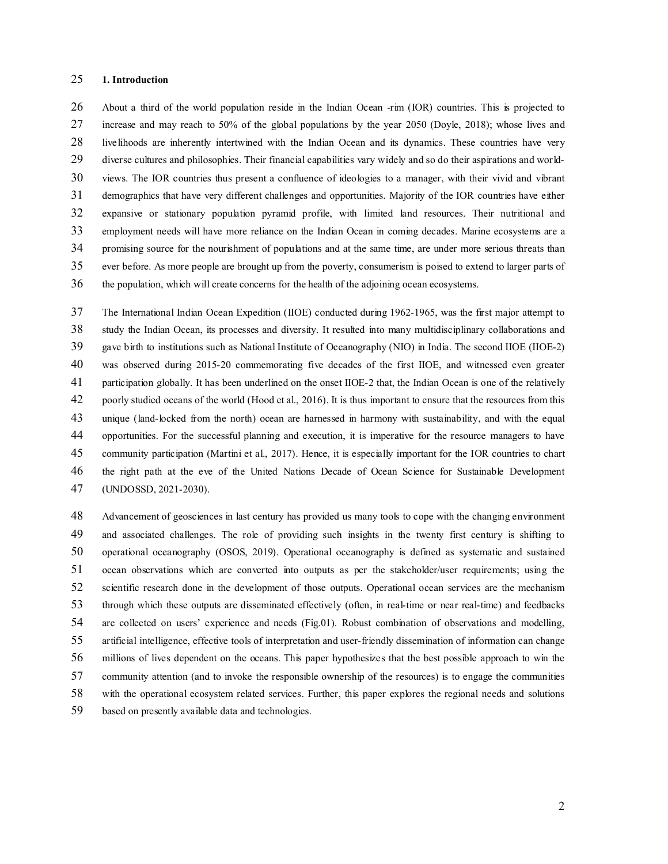## **1. Introduction**

 About a third of the world population reside in the Indian Ocean -rim (IOR) countries. This is projected to increase and may reach to 50% of the global populations by the year 2050 (Doyle, 2018); whose lives and livelihoods are inherently intertwined with the Indian Ocean and its dynamics. These countries have very diverse cultures and philosophies. Their financial capabilities vary widely and so do their aspirations and world- views. The IOR countries thus present a confluence of ideologies to a manager, with their vivid and vibrant demographics that have very different challenges and opportunities. Majority of the IOR countries have either expansive or stationary population pyramid profile, with limited land resources. Their nutritional and employment needs will have more reliance on the Indian Ocean in coming decades. Marine ecosystems are a promising source for the nourishment of populations and at the same time, are under more serious threats than ever before. As more people are brought up from the poverty, consumerism is poised to extend to larger parts of the population, which will create concerns for the health of the adjoining ocean ecosystems.

 The International Indian Ocean Expedition (IIOE) conducted during 1962-1965, was the first major attempt to study the Indian Ocean, its processes and diversity. It resulted into many multidisciplinary collaborations and gave birth to institutions such as National Institute of Oceanography (NIO) in India. The second IIOE (IIOE-2) was observed during 2015-20 commemorating five decades of the first IIOE, and witnessed even greater participation globally. It has been underlined on the onset IIOE-2 that, the Indian Ocean is one of the relatively poorly studied oceans of the world (Hood et al., 2016). It is thus important to ensure that the resources from this unique (land-locked from the north) ocean are harnessed in harmony with sustainability, and with the equal opportunities. For the successful planning and execution, it is imperative for the resource managers to have community participation (Martini et al., 2017). Hence, it is especially important for the IOR countries to chart the right path at the eve of the United Nations Decade of Ocean Science for Sustainable Development (UNDOSSD, 2021-2030).

 Advancement of geosciences in last century has provided us many tools to cope with the changing environment and associated challenges. The role of providing such insights in the twenty first century is shifting to operational oceanography (OSOS, 2019). Operational oceanography is defined as systematic and sustained ocean observations which are converted into outputs as per the stakeholder/user requirements; using the scientific research done in the development of those outputs. Operational ocean services are the mechanism through which these outputs are disseminated effectively (often, in real-time or near real-time) and feedbacks are collected on users' experience and needs (Fig.01). Robust combination of observations and modelling, artificial intelligence, effective tools of interpretation and user-friendly dissemination of information can change millions of lives dependent on the oceans. This paper hypothesizes that the best possible approach to win the community attention (and to invoke the responsible ownership of the resources) is to engage the communities with the operational ecosystem related services. Further, this paper explores the regional needs and solutions based on presently available data and technologies.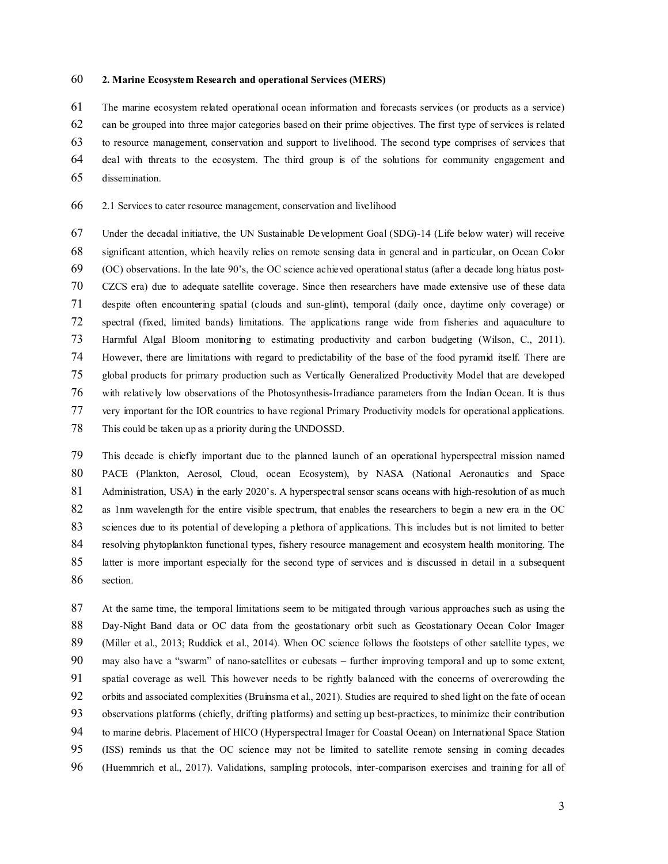#### **2. Marine Ecosystem Research and operational Services (MERS)**

The marine ecosystem related operational ocean information and forecasts services (or products as a service)

can be grouped into three major categories based on their prime objectives. The first type of services is related

to resource management, conservation and support to livelihood. The second type comprises of services that

deal with threats to the ecosystem. The third group is of the solutions for community engagement and

dissemination.

2.1 Services to cater resource management, conservation and livelihood

 Under the decadal initiative, the UN Sustainable Development Goal (SDG)-14 (Life below water) will receive significant attention, which heavily relies on remote sensing data in general and in particular, on Ocean Color (OC) observations. In the late 90's, the OC science achieved operational status (after a decade long hiatus post- CZCS era) due to adequate satellite coverage. Since then researchers have made extensive use of these data despite often encountering spatial (clouds and sun-glint), temporal (daily once, daytime only coverage) or spectral (fixed, limited bands) limitations. The applications range wide from fisheries and aquaculture to Harmful Algal Bloom monitoring to estimating productivity and carbon budgeting (Wilson, C., 2011). However, there are limitations with regard to predictability of the base of the food pyramid itself. There are global products for primary production such as Vertically Generalized Productivity Model that are developed with relatively low observations of the Photosynthesis-Irradiance parameters from the Indian Ocean. It is thus very important for the IOR countries to have regional Primary Productivity models for operational applications. This could be taken up as a priority during the UNDOSSD.

 This decade is chiefly important due to the planned launch of an operational hyperspectral mission named PACE (Plankton, Aerosol, Cloud, ocean Ecosystem), by NASA (National Aeronautics and Space 81 Administration, USA) in the early 2020's. A hyperspectral sensor scans oceans with high-resolution of as much as 1nm wavelength for the entire visible spectrum, that enables the researchers to begin a new era in the OC 83 sciences due to its potential of developing a plethora of applications. This includes but is not limited to better resolving phytoplankton functional types, fishery resource management and ecosystem health monitoring. The latter is more important especially for the second type of services and is discussed in detail in a subsequent section.

 At the same time, the temporal limitations seem to be mitigated through various approaches such as using the Day-Night Band data or OC data from the geostationary orbit such as Geostationary Ocean Color Imager (Miller et al., 2013; Ruddick et al., 2014). When OC science follows the footsteps of other satellite types, we may also have a "swarm" of nano-satellites or cubesats – further improving temporal and up to some extent, spatial coverage as well. This however needs to be rightly balanced with the concerns of overcrowding the 92 orbits and associated complexities (Bruinsma et al., 2021). Studies are required to shed light on the fate of ocean observations platforms (chiefly, drifting platforms) and setting up best-practices, to minimize their contribution to marine debris. Placement of HICO (Hyperspectral Imager for Coastal Ocean) on International Space Station (ISS) reminds us that the OC science may not be limited to satellite remote sensing in coming decades (Huemmrich et al., 2017). Validations, sampling protocols, inter-comparison exercises and training for all of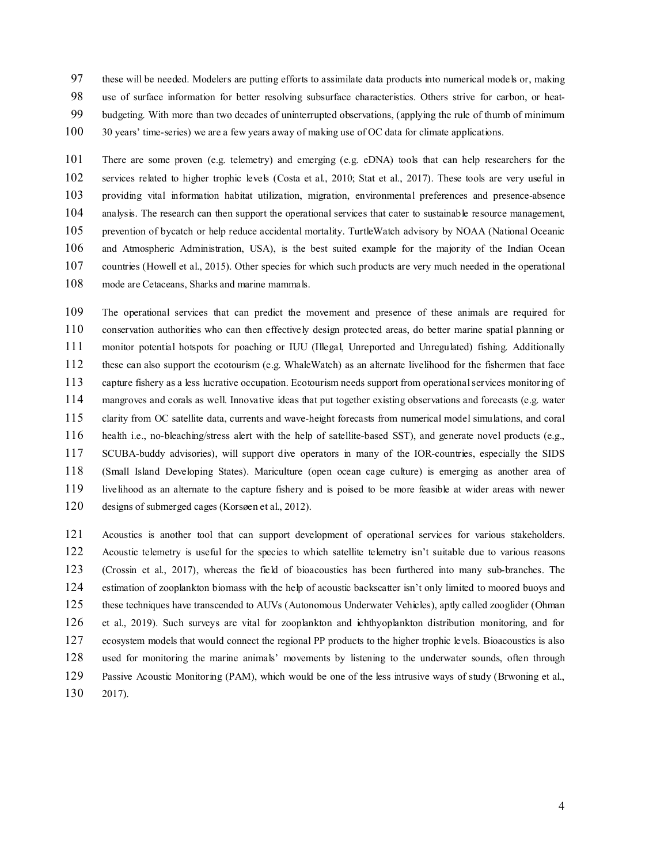these will be needed. Modelers are putting efforts to assimilate data products into numerical models or, making

use of surface information for better resolving subsurface characteristics. Others strive for carbon, or heat-

budgeting. With more than two decades of uninterrupted observations, (applying the rule of thumb of minimum

100 30 years' time-series) we are a few years away of making use of OC data for climate applications.

 There are some proven (e.g. telemetry) and emerging (e.g. eDNA) tools that can help researchers for the services related to higher trophic levels (Costa et al., 2010; Stat et al., 2017). These tools are very useful in providing vital information habitat utilization, migration, environmental preferences and presence-absence analysis. The research can then support the operational services that cater to sustainable resource management, prevention of bycatch or help reduce accidental mortality. TurtleWatch advisory by NOAA (National Oceanic and Atmospheric Administration, USA), is the best suited example for the majority of the Indian Ocean 107 countries (Howell et al., 2015). Other species for which such products are very much needed in the operational mode are Cetaceans, Sharks and marine mammals.

 The operational services that can predict the movement and presence of these animals are required for conservation authorities who can then effectively design protected areas, do better marine spatial planning or monitor potential hotspots for poaching or IUU (Illegal, Unreported and Unregulated) fishing. Additionally these can also support the ecotourism (e.g. WhaleWatch) as an alternate livelihood for the fishermen that face capture fishery as a less lucrative occupation. Ecotourism needs support from operational services monitoring of mangroves and corals as well. Innovative ideas that put together existing observations and forecasts (e.g. water clarity from OC satellite data, currents and wave-height forecasts from numerical model simulations, and coral health i.e., no-bleaching/stress alert with the help of satellite-based SST), and generate novel products (e.g., SCUBA-buddy advisories), will support dive operators in many of the IOR-countries, especially the SIDS (Small Island Developing States). Mariculture (open ocean cage culture) is emerging as another area of livelihood as an alternate to the capture fishery and is poised to be more feasible at wider areas with newer designs of submerged cages (Korsøen et al., 2012).

 Acoustics is another tool that can support development of operational services for various stakeholders. Acoustic telemetry is useful for the species to which satellite telemetry isn't suitable due to various reasons (Crossin et al., 2017), whereas the field of bioacoustics has been furthered into many sub-branches. The estimation of zooplankton biomass with the help of acoustic backscatter isn't only limited to moored buoys and these techniques have transcended to AUVs (Autonomous Underwater Vehicles), aptly called zooglider (Ohman et al., 2019). Such surveys are vital for zooplankton and ichthyoplankton distribution monitoring, and for ecosystem models that would connect the regional PP products to the higher trophic levels. Bioacoustics is also used for monitoring the marine animals' movements by listening to the underwater sounds, often through Passive Acoustic Monitoring (PAM), which would be one of the less intrusive ways of study (Brwoning et al., 2017).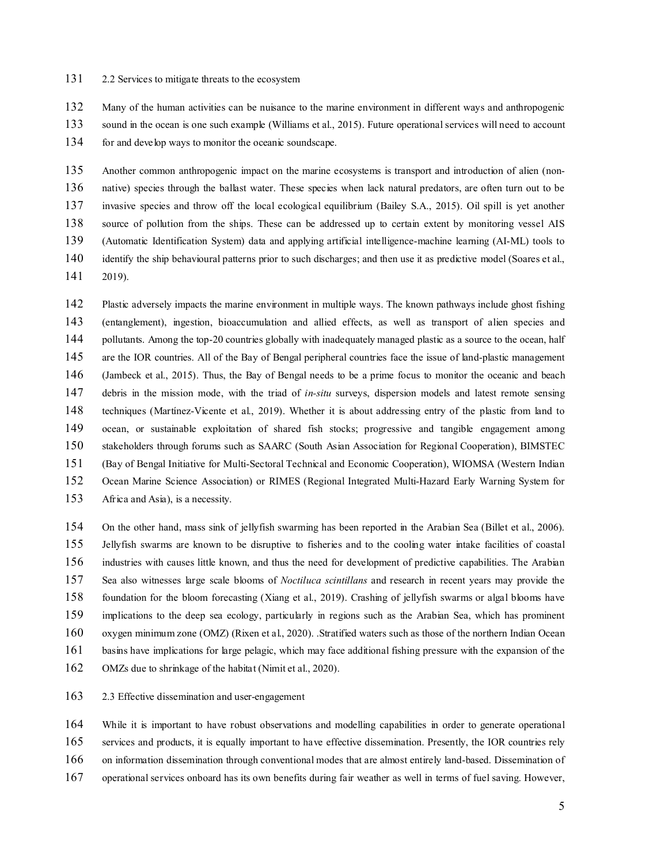#### 2.2 Services to mitigate threats to the ecosystem

Many of the human activities can be nuisance to the marine environment in different ways and anthropogenic

sound in the ocean is one such example (Williams et al., 2015). Future operational services will need to account

for and develop ways to monitor the oceanic soundscape.

 Another common anthropogenic impact on the marine ecosystems is transport and introduction of alien (non- native) species through the ballast water. These species when lack natural predators, are often turn out to be invasive species and throw off the local ecological equilibrium (Bailey S.A., 2015). Oil spill is yet another source of pollution from the ships. These can be addressed up to certain extent by monitoring vessel AIS (Automatic Identification System) data and applying artificial intelligence-machine learning (AI-ML) tools to 140 identify the ship behavioural patterns prior to such discharges; and then use it as predictive model (Soares et al., 2019).

 Plastic adversely impacts the marine environment in multiple ways. The known pathways include ghost fishing (entanglement), ingestion, bioaccumulation and allied effects, as well as transport of alien species and pollutants. Among the top-20 countries globally with inadequately managed plastic as a source to the ocean, half 145 are the IOR countries. All of the Bay of Bengal peripheral countries face the issue of land-plastic management (Jambeck et al., 2015). Thus, the Bay of Bengal needs to be a prime focus to monitor the oceanic and beach debris in the mission mode, with the triad of *in-situ* surveys, dispersion models and latest remote sensing techniques (Martínez-Vicente et al., 2019). Whether it is about addressing entry of the plastic from land to ocean, or sustainable exploitation of shared fish stocks; progressive and tangible engagement among stakeholders through forums such as SAARC (South Asian Association for Regional Cooperation), BIMSTEC (Bay of Bengal Initiative for Multi-Sectoral Technical and Economic Cooperation), WIOMSA (Western Indian Ocean Marine Science Association) or RIMES (Regional Integrated Multi-Hazard Early Warning System for Africa and Asia), is a necessity.

 On the other hand, mass sink of jellyfish swarming has been reported in the Arabian Sea (Billet et al., 2006). Jellyfish swarms are known to be disruptive to fisheries and to the cooling water intake facilities of coastal industries with causes little known, and thus the need for development of predictive capabilities. The Arabian Sea also witnesses large scale blooms of *Noctiluca scintillans* and research in recent years may provide the foundation for the bloom forecasting (Xiang et al., 2019). Crashing of jellyfish swarms or algal blooms have implications to the deep sea ecology, particularly in regions such as the Arabian Sea, which has prominent oxygen minimum zone (OMZ) (Rixen et al., 2020). .Stratified waters such as those of the northern Indian Ocean basins have implications for large pelagic, which may face additional fishing pressure with the expansion of the OMZs due to shrinkage of the habitat (Nimit et al., 2020).

2.3 Effective dissemination and user-engagement

 While it is important to have robust observations and modelling capabilities in order to generate operational services and products, it is equally important to have effective dissemination. Presently, the IOR countries rely on information dissemination through conventional modes that are almost entirely land-based. Dissemination of

operational services onboard has its own benefits during fair weather as well in terms of fuel saving. However,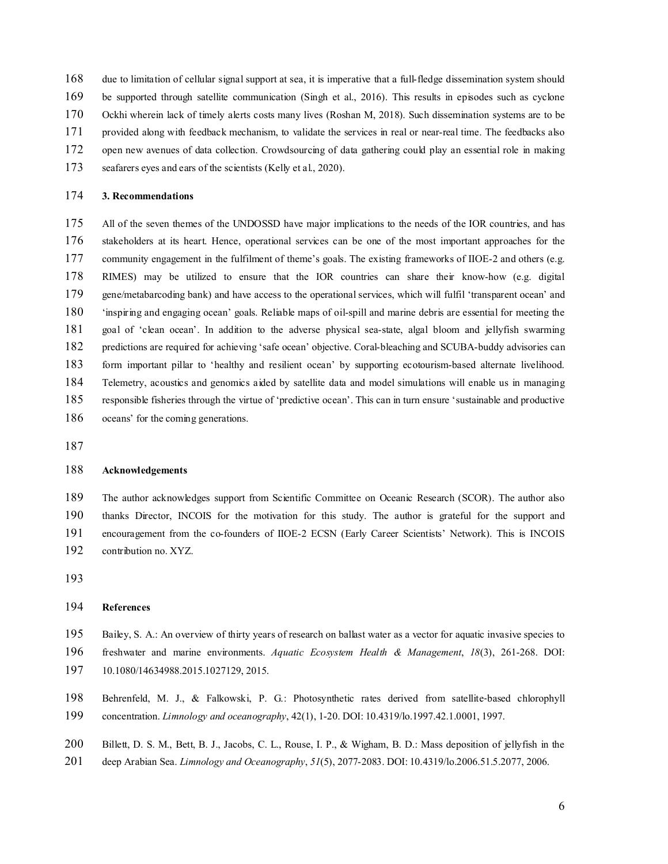due to limitation of cellular signal support at sea, it is imperative that a full-fledge dissemination system should

be supported through satellite communication (Singh et al., 2016). This results in episodes such as cyclone

- Ockhi wherein lack of timely alerts costs many lives (Roshan M, 2018). Such dissemination systems are to be
- provided along with feedback mechanism, to validate the services in real or near-real time. The feedbacks also
- open new avenues of data collection. Crowdsourcing of data gathering could play an essential role in making
- seafarers eyes and ears of the scientists (Kelly et al., 2020).

#### **3. Recommendations**

 All of the seven themes of the UNDOSSD have major implications to the needs of the IOR countries, and has stakeholders at its heart. Hence, operational services can be one of the most important approaches for the 177 community engagement in the fulfilment of theme's goals. The existing frameworks of IIOE-2 and others (e.g. RIMES) may be utilized to ensure that the IOR countries can share their know-how (e.g. digital gene/metabarcoding bank) and have access to the operational services, which will fulfil 'transparent ocean' and 'inspiring and engaging ocean' goals. Reliable maps of oil-spill and marine debris are essential for meeting the goal of 'clean ocean'. In addition to the adverse physical sea-state, algal bloom and jellyfish swarming predictions are required for achieving 'safe ocean' objective. Coral-bleaching and SCUBA-buddy advisories can form important pillar to 'healthy and resilient ocean' by supporting ecotourism-based alternate livelihood. Telemetry, acoustics and genomics aided by satellite data and model simulations will enable us in managing responsible fisheries through the virtue of 'predictive ocean'. This can in turn ensure 'sustainable and productive oceans' for the coming generations.

## **Acknowledgements**

 The author acknowledges support from Scientific Committee on Oceanic Research (SCOR). The author also thanks Director, INCOIS for the motivation for this study. The author is grateful for the support and encouragement from the co-founders of IIOE-2 ECSN (Early Career Scientists' Network). This is INCOIS contribution no. XYZ.

## **References**

- Bailey, S. A.: An overview of thirty years of research on ballast water as a vector for aquatic invasive species to
- freshwater and marine environments. *Aquatic Ecosystem Health & Management*, *18*(3), 261-268. DOI:
- 10.1080/14634988.2015.1027129, 2015.
- Behrenfeld, M. J., & Falkowski, P. G.: Photosynthetic rates derived from satellite‐based chlorophyll concentration. *Limnology and oceanography*, 42(1), 1-20. DOI: 10.4319/lo.1997.42.1.0001, 1997.
- 200 Billett, D. S. M., Bett, B. J., Jacobs, C. L., Rouse, I. P., & Wigham, B. D.: Mass deposition of jellyfish in the
- deep Arabian Sea. *Limnology and Oceanography*, *51*(5), 2077-2083. DOI: 10.4319/lo.2006.51.5.2077, 2006.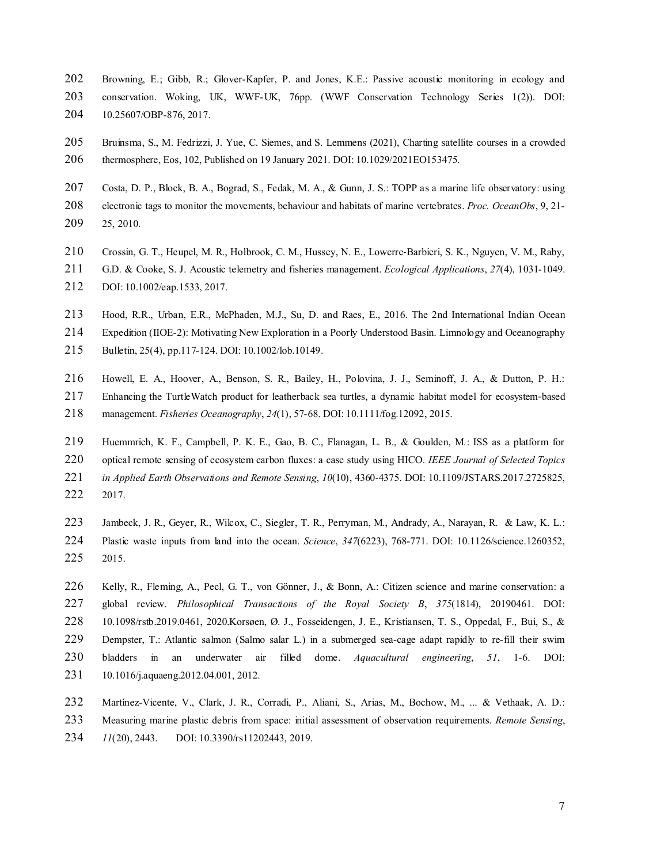- Browning, E.; Gibb, R.; Glover-Kapfer, P. and Jones, K.E.: Passive acoustic monitoring in ecology and conservation. Woking, UK, WWF-UK, 76pp. (WWF Conservation Technology Series 1(2)). DOI: 10.25607/OBP-876, 2017.
- Bruinsma, S., M. Fedrizzi, J. Yue, C. Siemes, and S. Lemmens (2021), Charting satellite courses in a crowded thermosphere, Eos, 102, Published on 19 January 2021. DOI: 10.1029/2021EO153475.
- 207 Costa, D. P., Block, B. A., Bograd, S., Fedak, M. A., & Gunn, J. S.: TOPP as a marine life observatory: using
- electronic tags to monitor the movements, behaviour and habitats of marine vertebrates. *Proc. OceanObs*, 9, 21- 25, 2010.
- 210 Crossin, G. T., Heupel, M. R., Holbrook, C. M., Hussey, N. E., Lowerre-Barbieri, S. K., Nguyen, V. M., Raby,
- G.D. & Cooke, S. J. Acoustic telemetry and fisheries management. *Ecological Applications*, *27*(4), 1031-1049. DOI: 10.1002/eap.1533, 2017.
- Hood, R.R., Urban, E.R., McPhaden, M.J., Su, D. and Raes, E., 2016. The 2nd International Indian Ocean Expedition (IIOE-2): Motivating New Exploration in a Poorly Understood Basin. Limnology and Oceanography
- Bulletin, 25(4), pp.117-124. DOI: 10.1002/lob.10149.
- Howell, E. A., Hoover, A., Benson, S. R., Bailey, H., Polovina, J. J., Seminoff, J. A., & Dutton, P. H.:
- 217 Enhancing the TurtleWatch product for leatherback sea turtles, a dynamic habitat model for ecosystem-based
- management. *Fisheries Oceanography*, *24*(1), 57-68. DOI: 10.1111/fog.12092, 2015.
- Huemmrich, K. F., Campbell, P. K. E., Gao, B. C., Flanagan, L. B., & Goulden, M.: ISS as a platform for optical remote sensing of ecosystem carbon fluxes: a case study using HICO. *IEEE Journal of Selected Topics in Applied Earth Observations and Remote Sensing*, *10*(10), 4360-4375. DOI: 10.1109/JSTARS.2017.2725825, 2017.
- Jambeck, J. R., Geyer, R., Wilcox, C., Siegler, T. R., Perryman, M., Andrady, A., Narayan, R. & Law, K. L.: Plastic waste inputs from land into the ocean. *Science*, *347*(6223), 768-771. DOI: 10.1126/science.1260352, 2015.
- 226 Kelly, R., Fleming, A., Pecl, G. T., von Gönner, J., & Bonn, A.: Citizen science and marine conservation: a global review. *Philosophical Transactions of the Royal Society B*, *375*(1814), 20190461. DOI: 10.1098/rstb.2019.0461, 2020.Korsøen, Ø. J., Fosseidengen, J. E., Kristiansen, T. S., Oppedal, F., Bui, S., & Dempster, T.: Atlantic salmon (Salmo salar L.) in a submerged sea-cage adapt rapidly to re-fill their swim bladders in an underwater air filled dome. *Aquacultural engineering*, *51*, 1-6. DOI: 10.1016/j.aquaeng.2012.04.001, 2012.
- Martínez-Vicente, V., Clark, J. R., Corradi, P., Aliani, S., Arias, M., Bochow, M., ... & Vethaak, A. D.: Measuring marine plastic debris from space: initial assessment of observation requirements. *Remote Sensing*, *11*(20), 2443. DOI: 10.3390/rs11202443, 2019.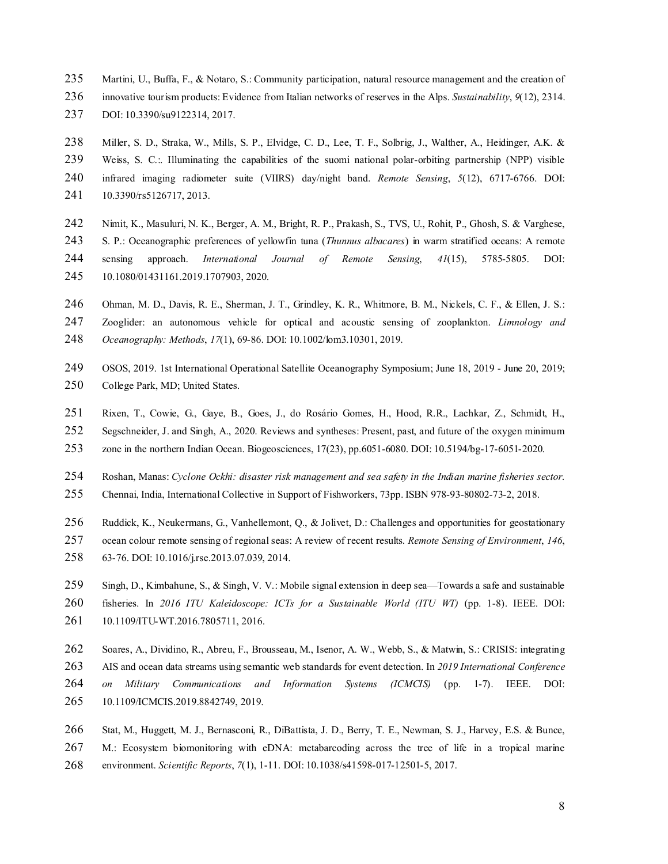- Martini, U., Buffa, F., & Notaro, S.: Community participation, natural resource management and the creation of
- innovative tourism products: Evidence from Italian networks of reserves in the Alps. *Sustainability*, *9*(12), 2314.
- DOI: 10.3390/su9122314, 2017.
- Miller, S. D., Straka, W., Mills, S. P., Elvidge, C. D., Lee, T. F., Solbrig, J., Walther, A., Heidinger, A.K. &
- Weiss, S. C.:. Illuminating the capabilities of the suomi national polar-orbiting partnership (NPP) visible
- infrared imaging radiometer suite (VIIRS) day/night band. *Remote Sensing*, *5*(12), 6717-6766. DOI:
- 10.3390/rs5126717, 2013.
- Nimit, K., Masuluri, N. K., Berger, A. M., Bright, R. P., Prakash, S., TVS, U., Rohit, P., Ghosh, S. & Varghese, S. P.: Oceanographic preferences of yellowfin tuna (*Thunnus albacares*) in warm stratified oceans: A remote sensing approach. *International Journal of Remote Sensing*, *41*(15), 5785-5805. DOI: 10.1080/01431161.2019.1707903, 2020.
- 246 Ohman, M. D., Davis, R. E., Sherman, J. T., Grindley, K. R., Whitmore, B. M., Nickels, C. F., & Ellen, J. S.:
- Zooglider: an autonomous vehicle for optical and acoustic sensing of zooplankton. *Limnology and*
- *Oceanography: Methods*, *17*(1), 69-86. DOI: 10.1002/lom3.10301, 2019.
- OSOS, 2019. 1st International Operational Satellite Oceanography Symposium; June 18, 2019 June 20, 2019; 250 College Park, MD; United States.
- Rixen, T., Cowie, G., Gaye, B., Goes, J., do Rosário Gomes, H., Hood, R.R., Lachkar, Z., Schmidt, H.,
- Segschneider, J. and Singh, A., 2020. Reviews and syntheses: Present, past, and future of the oxygen minimum
- zone in the northern Indian Ocean. Biogeosciences, 17(23), pp.6051-6080. DOI: 10.5194/bg-17-6051-2020.
- Roshan, Manas: *Cyclone Ockhi: disaster risk management and sea safety in the Indian marine fisheries sector.*
- Chennai, India, International Collective in Support of Fishworkers, 73pp. ISBN 978-93-80802-73-2, 2018.
- Ruddick, K., Neukermans, G., Vanhellemont, Q., & Jolivet, D.: Challenges and opportunities for geostationary
- ocean colour remote sensing of regional seas: A review of recent results. *Remote Sensing of Environment*, *146*,
- 63-76. DOI: 10.1016/j.rse.2013.07.039, 2014.
- 259 Singh, D., Kimbahune, S., & Singh, V. V.: Mobile signal extension in deep sea—Towards a safe and sustainable
- fisheries. In *2016 ITU Kaleidoscope: ICTs for a Sustainable World (ITU WT)* (pp. 1-8). IEEE. DOI:
- 10.1109/ITU-WT.2016.7805711, 2016.
- Soares, A., Dividino, R., Abreu, F., Brousseau, M., Isenor, A. W., Webb, S., & Matwin, S.: CRISIS: integrating AIS and ocean data streams using semantic web standards for event detection. In *2019 International Conference on Military Communications and Information Systems (ICMCIS)* (pp. 1-7). IEEE. DOI: 10.1109/ICMCIS.2019.8842749, 2019.
- Stat, M., Huggett, M. J., Bernasconi, R., DiBattista, J. D., Berry, T. E., Newman, S. J., Harvey, E.S. & Bunce, M.: Ecosystem biomonitoring with eDNA: metabarcoding across the tree of life in a tropical marine environment. *Scientific Reports*, *7*(1), 1-11. DOI: 10.1038/s41598-017-12501-5, 2017.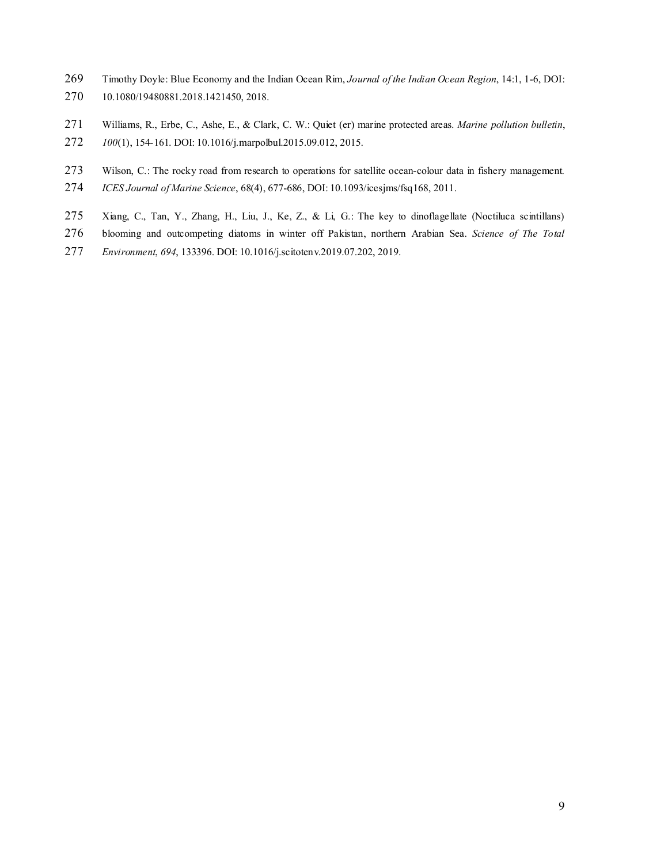- Timothy Doyle: Blue Economy and the Indian Ocean Rim, *Journal of the Indian Ocean Region*, 14:1, 1-6, DOI: 10.1080/19480881.2018.1421450, 2018.
- Williams, R., Erbe, C., Ashe, E., & Clark, C. W.: Quiet (er) marine protected areas. *Marine pollution bulletin*,
- *100*(1), 154-161. DOI: 10.1016/j.marpolbul.2015.09.012, 2015.
- 273 Wilson, C.: The rocky road from research to operations for satellite ocean-colour data in fishery management.
- *ICES Journal of Marine Science*, 68(4), 677-686, DOI: 10.1093/icesjms/fsq168, 2011.
- Xiang, C., Tan, Y., Zhang, H., Liu, J., Ke, Z., & Li, G.: The key to dinoflagellate (Noctiluca scintillans)
- blooming and outcompeting diatoms in winter off Pakistan, northern Arabian Sea. *Science of The Total*
- *Environment*, *694*, 133396. DOI: 10.1016/j.scitotenv.2019.07.202, 2019.